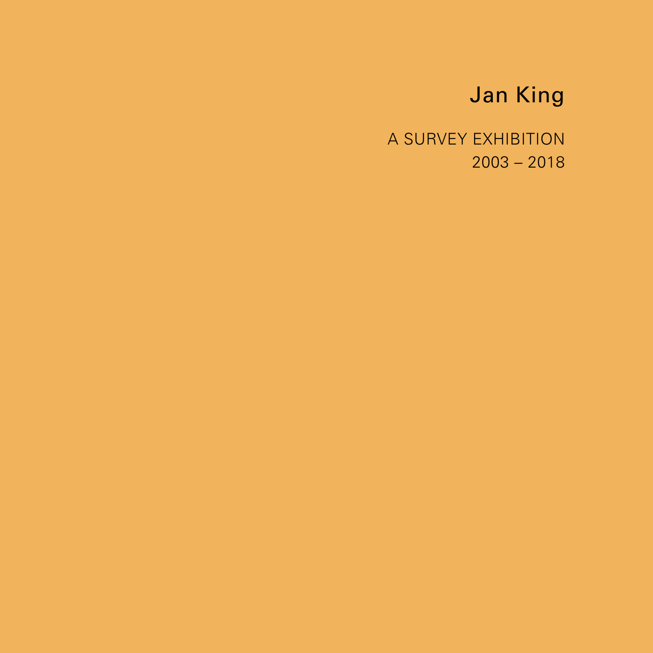# Jan King

A SURVEY EXHIBITION 2003 – 2018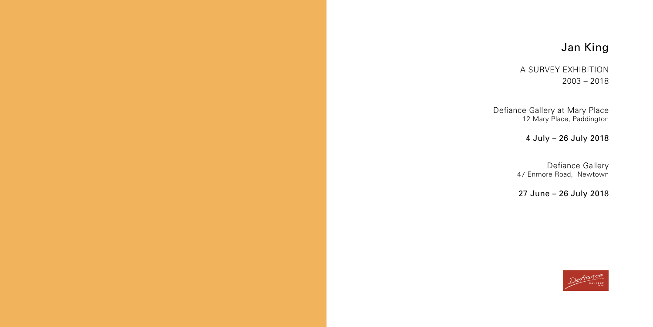# Jan King

A SURVEY EXHIBITION 2003 – 2018

Defiance Gallery at Mary Place 12 Mary Place, Paddington

## 4 July – 26 July 2018

 Defiance Gallery 47 Enmore Road, Newtown

## 27 June – 26 July 2018

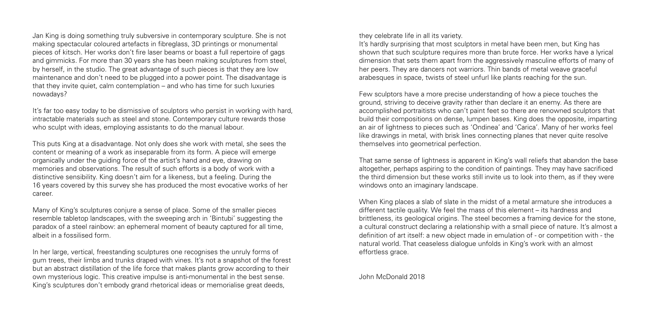Jan King is doing something truly subversive in contemporary sculpture. She is not making spectacular coloured artefacts in fibreglass, 3D printings or monumental pieces of kitsch. Her works don't fire laser beams or boast a full repertoire of gags and gimmicks. For more than 30 years she has been making sculptures from steel, by herself, in the studio. The great advantage of such pieces is that they are low maintenance and don't need to be plugged into a power point. The disadvantage is that they invite quiet, calm contemplation – and who has time for such luxuries nowadays?

It's far too easy today to be dismissive of sculptors who persist in working with hard, intractable materials such as steel and stone. Contemporary culture rewards those who sculpt with ideas, employing assistants to do the manual labour.

This puts King at a disadvantage. Not only does she work with metal, she sees the content or meaning of a work as inseparable from its form. A piece will emerge organically under the guiding force of the artist's hand and eye, drawing on memories and observations. The result of such efforts is a body of work with a distinctive sensibility. King doesn't aim for a likeness, but a feeling. During the 16 years covered by this survey she has produced the most evocative works of her career.

Many of King's sculptures conjure a sense of place. Some of the smaller pieces resemble tabletop landscapes, with the sweeping arch in 'Bintubi' suggesting the paradox of a steel rainbow: an ephemeral moment of beauty captured for all time, albeit in a fossilised form.

In her large, vertical, freestanding sculptures one recognises the unruly forms of gum trees, their limbs and trunks draped with vines. It's not a snapshot of the forest but an abstract distillation of the life force that makes plants grow according to their own mysterious logic. This creative impulse is anti-monumental in the best sense. King's sculptures don't embody grand rhetorical ideas or memorialise great deeds,

they celebrate life in all its variety.

It's hardly surprising that most sculptors in metal have been men, but King has shown that such sculpture requires more than brute force. Her works have a lyrical dimension that sets them apart from the aggressively masculine efforts of many of her peers. They are dancers not warriors. Thin bands of metal weave graceful arabesques in space, twists of steel unfurl like plants reaching for the sun.

Few sculptors have a more precise understanding of how a piece touches the ground, striving to deceive gravity rather than declare it an enemy. As there are accomplished portraitists who can't paint feet so there are renowned sculptors that build their compositions on dense, lumpen bases. King does the opposite, imparting an air of lightness to pieces such as 'Ondinea' and 'Carica'. Many of her works feel like drawings in metal, with brisk lines connecting planes that never quite resolve themselves into geometrical perfection.

That same sense of lightness is apparent in King's wall reliefs that abandon the base altogether, perhaps aspiring to the condition of paintings. They may have sacrificed the third dimension but these works still invite us to look into them, as if they were windows onto an imaginary landscape.

When King places a slab of slate in the midst of a metal armature she introduces a different tactile quality. We feel the mass of this element – its hardness and brittleness, its geological origins. The steel becomes a framing device for the stone, a cultural construct declaring a relationship with a small piece of nature. It's almost a definition of art itself: a new object made in emulation of - or competition with - the natural world. That ceaseless dialogue unfolds in King's work with an almost effortless grace.

John McDonald 2018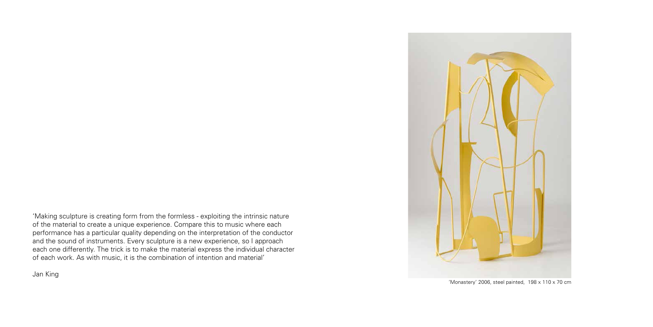

'Monastery' 2006, steel painted, 198 x 110 x 70 cm

'Making sculpture is creating form from the formless - exploiting the intrinsic nature of the material to create a unique experience. Compare this to music where each performance has a particular quality depending on the interpretation of the conductor and the sound of instruments. Every sculpture is a new experience, so I approach each one differently. The trick is to make the material express the individual character of each work. As with music, it is the combination of intention and material'

Jan King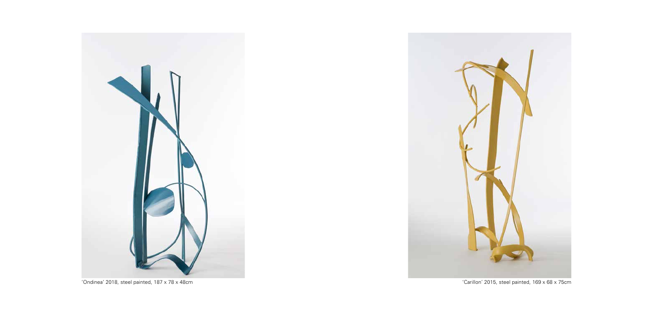

'Ondinea' 2018, steel painted, 187 x 78 x 48cm 'Carillon' 2015, steel painted, 169 x 68 x 75cm

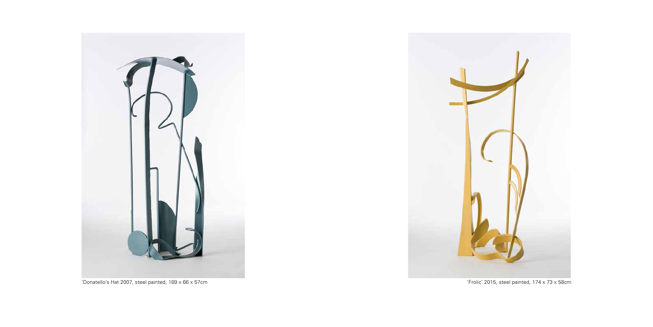



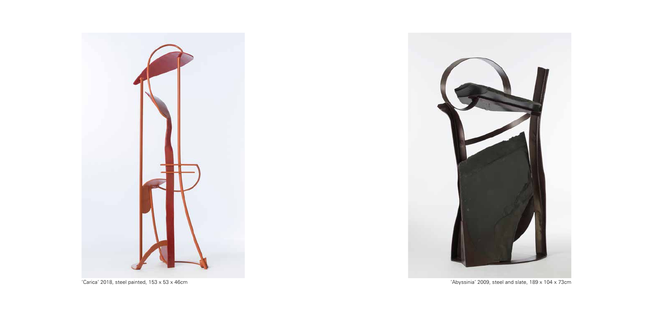



'Carica' 2018, steel painted, 153 x 53 x 46cm 'Abyssinia' 2009, steel and slate, 189 x 104 x 73cm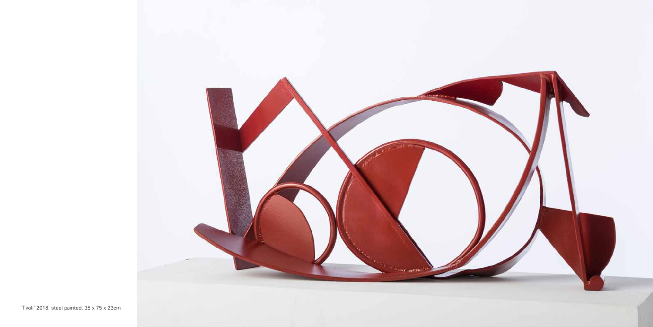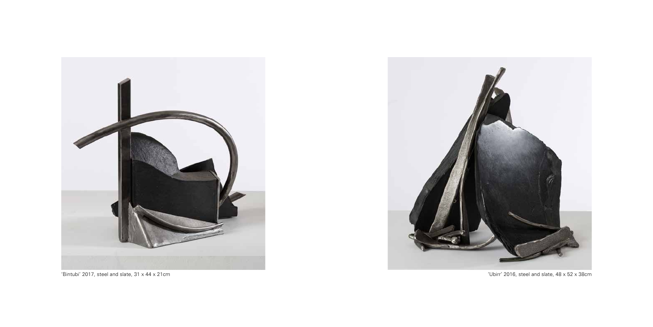



'Bintubi' 2017, steel and slate, 31 x 44 x 21cm 'Ubirr' 2016, steel and slate, 48 x 52 x 38cm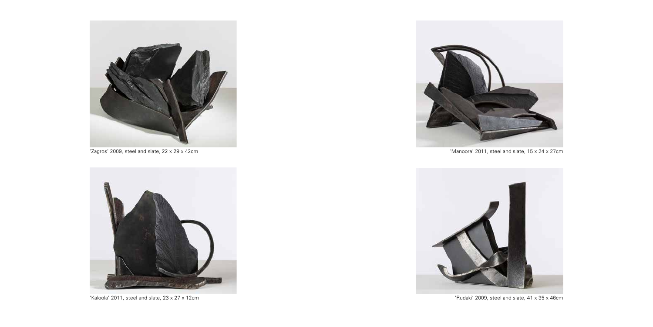

'Zagros' 2009, steel and slate, 22 x 29 x 42cm



'Kaloola' 2011, steel and slate, 23 x 27 x 12cm



'Manoora' 2011, steel and slate, 15 x 24 x 27cm



'Rudaki' 2009, steel and slate, 41 x 35 x 46cm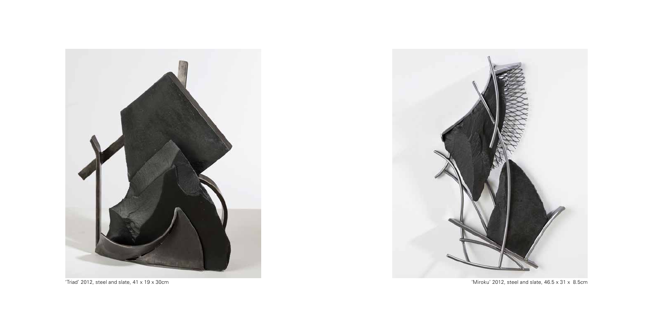



'Triad' 2012, steel and slate, 41 x 19 x 30cm 'Miroku' 2012, steel and slate, 46.5 x 31 x 8.5cm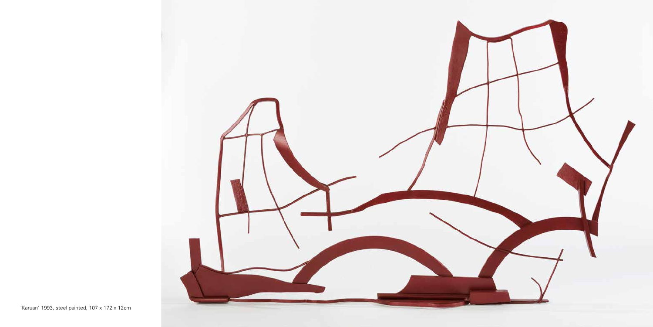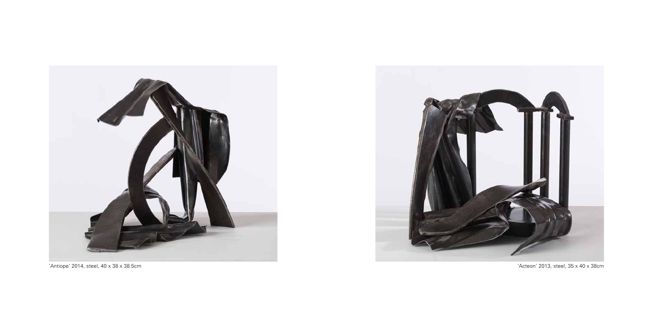

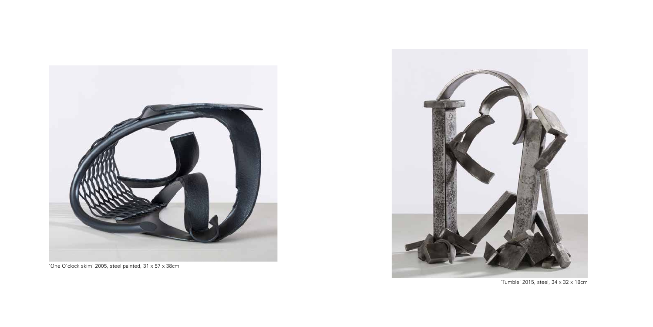



'One O'clock skim' 2005, steel painted, 31 x 57 x 38cm

'Tumble' 2015, steel, 34 x 32 x 18cm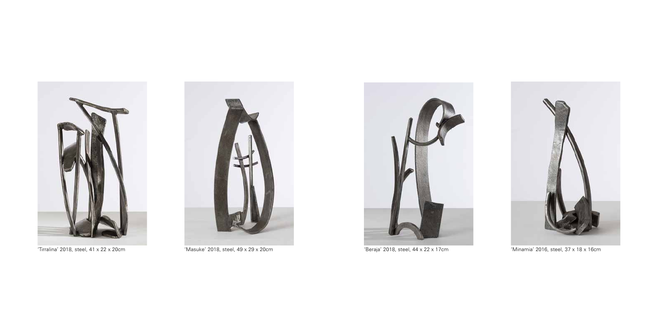





'Tirralina' 2018, steel, 41 x 22 x 20cm 'Masuke' 2018, steel, 49 x 29 x 20cm 'Beraja' 2018, steel, 44 x 22 x 17cm 'Minamia' 2016, steel, 37 x 18 x 16cm

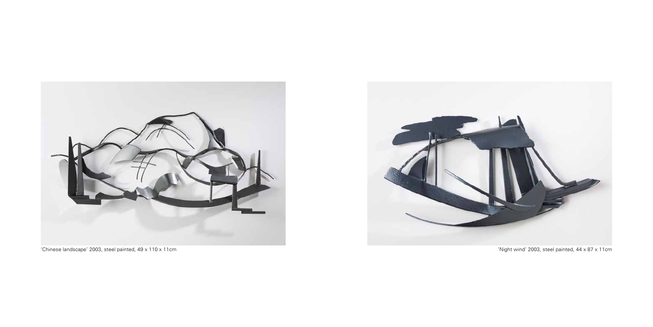

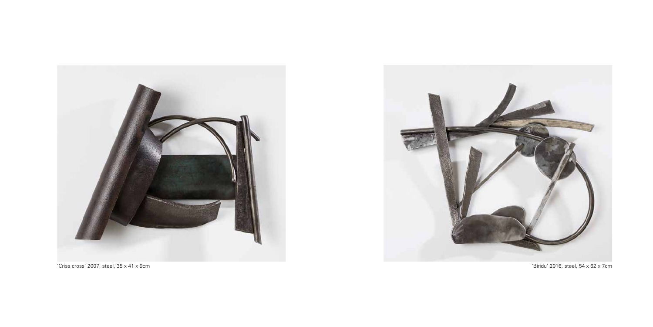

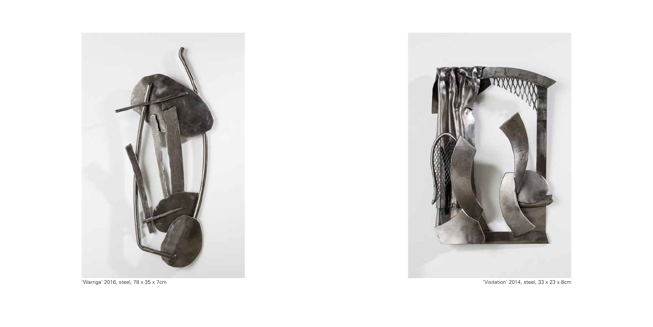

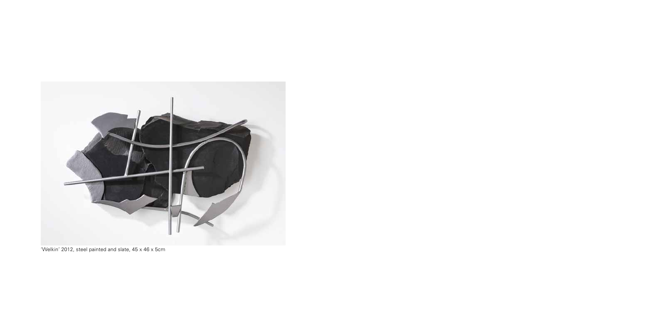

'Welkin' 2012, steel painted and slate, 45 x 46 x 5cm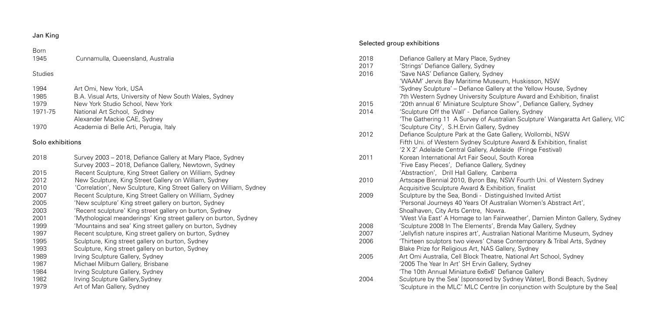#### Selected group exhibitions

#### Born 1945 Cunnamulla, Queensland, Australia **Studies** 1994 Art Omi, New York, USA 1985 B.A. Visual Arts, University of New South Wales, Sydney 1979 New York Studio School, New York 1971-75 National Art School, Sydney Alexander Mackie CAE, Sydney 1970 Academia di Belle Arti, Perugia, Italy Solo exhibitions 2018 Survey 2003 – 2018, Defiance Gallery at Mary Place, Sydney Survey 2003 – 2018, Defiance Gallery, Newtown, Sydney 2015 Recent Sculpture, King Street Gallery on William, Sydney 2012 New Sculpture, King Street Gallery on William, Sydney 2010 'Correlation', New Sculpture, King Street Gallery on William, Sydney 2007 Recent Sculpture, King Street Gallery on William, Sydney 2005 'New sculpture' King street gallery on burton, Sydney 2003 'Recent sculpture' King street gallery on burton, Sydney 2001 'Mythological meanderings' King street gallery on burton, Sydney 1999 'Mountains and sea' King street gallery on burton, Sydney 1997 Recent sculpture, King street gallery on burton, Sydney 1995 Sculpture, King street gallery on burton, Sydney 1993 Sculpture, King street gallery on burton, Sydney 1989 Irving Sculpture Gallery, Sydney 1987 Michael Milburn Gallery, Brisbane 1984 Irving Sculpture Gallery, Sydney 1982 Irving Sculpture Gallery, Sydney 1979 **Art of Man Gallery, Sydney** 2018 Defiance Gallery at Mary Place, Sydney 2017 'Strings' Defiance Gallery, Sydney 2016 'Save NAS' Defiance Gallery, Sydney 'WAAM' Jervis Bay Maritime Museum, Huskisson, NSW 'Sydney Sculpture' – Defiance Gallery at the Yellow House, Sydney 2015 '20th annual 6' Miniature Sculpture Show", Defiance Gallery, Sydney 2014 'Sculpture Off the Wall' - Defiance Gallery, Sydney 'Sculpture City', S.H.Ervin Gallery, Sydney 2012 Defiance Sculpture Park at the Gate Gallery, Wollombi, NSW Fifth Uni. of Western Sydney Sculpture Award & Exhibition, finalist '2 X 2' Adelaide Central Gallery, Adelaide (Fringe Festival) 2011 Korean International Art Fair Seoul, South Korea 'Five Easy Pieces', Defiance Gallery, Sydney 'Abstraction', Drill Hall Gallery, Canberra 2010 Artscape Biennial 2010, Byron Bay, NSW Fourth Uni. of Western Sydney Acquisitive Sculpture Award & Exhibition, finalist 2009 Sculpture by the Sea, Bondi - Distinguished Invited Artist 'Personal Journeys 40 Years Of Australian Women's Abstract Art', Shoalhaven, City Arts Centre, Nowra. 2008 'Sculpture 2008 In The Elements', Brenda May Gallery, Sydney 2007 'Jellyfish nature inspires art', Australian National Maritime Museum, Sydney 2006 'Thirteen sculptors two views' Chase Contemporary & Tribal Arts, Sydney Blake Prize for Religious Art, NAS Gallery, Sydney 2005 Art Omi Australia, Cell Block Theatre, National Art School, Sydney '2005 The Year In Art' SH Ervin Gallery, Sydney 'The 10th Annual Miniature 6x6x6' Defiance Gallery 2004 Sculpture by the Sea' [sponsored by Sydney Water], Bondi Beach, Sydney

 7th Western Sydney University Sculpture Award and Exhibition, finalist 'The Gathering 11 A Survey of Australian Sculpture' Wangaratta Art Gallery, VIC 'West Via East' A Homage to Ian Fairweather', Damien Minton Gallery, Sydney

- 
- 
- 
- 
- 'Sculpture in the MLC' MLC Centre [in conjunction with Sculpture by the Sea]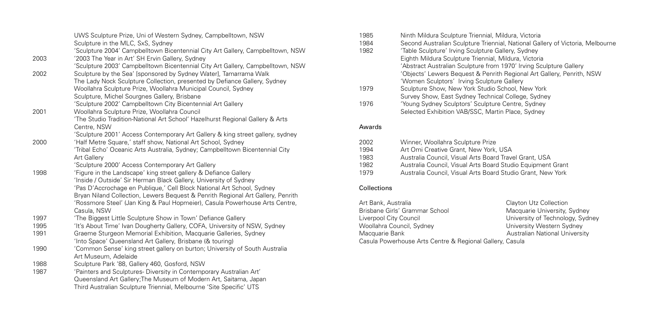|              | UWS Sculpture Prize, Uni of Western Sydney, Campbelltown, NSW                                                                                 |
|--------------|-----------------------------------------------------------------------------------------------------------------------------------------------|
|              | Sculpture in the MLC, SxS, Sydney                                                                                                             |
|              | 'Sculpture 2004' Campbelltown Bicentennial City Art Gallery, Campbelltown, NSW                                                                |
| 2003         | '2003 The Year in Art' SH Ervin Gallery, Sydney                                                                                               |
|              | 'Sculpture 2003' Campbelltown Bicentennial City Art Gallery, Campbelltown, NSW                                                                |
| 2002         | Sculpture by the Sea' [sponsored by Sydney Water], Tamarrama Walk                                                                             |
|              | The Lady Nock Sculpture Collection, presented by Defiance Gallery, Sydney                                                                     |
|              | Woollahra Sculpture Prize, Woollahra Municipal Council, Sydney                                                                                |
|              | Sculpture, Michel Sourgnes Gallery, Brisbane                                                                                                  |
|              | 'Sculpture 2002' Campbelltown City Bicentennial Art Gallery                                                                                   |
| 2001         | Woollahra Sculpture Prize, Woollahra Council                                                                                                  |
|              | 'The Studio Tradition-National Art School' Hazelhurst Regional Gallery & Arts                                                                 |
|              | Centre, NSW                                                                                                                                   |
|              | 'Sculpture 2001' Access Contemporary Art Gallery & king street gallery, sydney                                                                |
| 2000         | 'Half Metre Square,' staff show, National Art School, Sydney                                                                                  |
|              | 'Tribal Echo' Oceanic Arts Australia, Sydney; Campbelltown Bicentennial City                                                                  |
|              | <b>Art Gallery</b>                                                                                                                            |
|              | 'Sculpture 2000' Access Contemporary Art Gallery                                                                                              |
| 1998         | 'Figure in the Landscape' king street gallery & Defiance Gallery                                                                              |
|              | 'Inside / Outside' Sir Herman Black Gallery, University of Sydney                                                                             |
|              | 'Pas D'Accrochage en Publique,' Cell Block National Art School, Sydney                                                                        |
|              | Bryan Niland Collection, Lewers Bequest & Penrith Regional Art Gallery, Penrith                                                               |
|              | 'Rossmore Steel' (Jan King & Paul Hopmeier), Casula Powerhouse Arts Centre,                                                                   |
|              | Casula, NSW                                                                                                                                   |
| 1997         | 'The Biggest Little Sculpture Show in Town' Defiance Gallery                                                                                  |
| 1995<br>1991 | 'It's About Time' Ivan Dougherty Gallery, COFA, University of NSW, Sydney<br>Graeme Sturgeon Memorial Exhibition, Macquarie Galleries, Sydney |
|              | 'Into Space' Queensland Art Gallery, Brisbane (& touring)                                                                                     |
| 1990         | 'Common Sense' king street gallery on burton; University of South Australia                                                                   |
|              | Art Museum, Adelaide                                                                                                                          |
| 1988         | Sculpture Park '88, Gallery 460, Gosford, NSW                                                                                                 |
| 1987         | 'Painters and Sculptures- Diversity in Contemporary Australian Art'                                                                           |
|              | Queensland Art Gallery; The Museum of Modern Art, Saitama, Japan                                                                              |
|              | Third Australian Sculpture Triennial, Melbourne 'Site Specific' UTS                                                                           |
|              |                                                                                                                                               |

| Art Bank, Australia                                      | Clayton Utz Collection  |
|----------------------------------------------------------|-------------------------|
| Brisbane Girls' Grammar School                           | Macquarie University, 9 |
| Liverpool City Council                                   | University of Technolog |
| Woollahra Council, Sydney                                | University Western Syd  |
| Macquarie Bank                                           | Australian National Uni |
| Casula Powerhouse Arts Centre & Regional Gallery, Casula |                         |

, Victoria tional Gallery of Victoria, Melbourne , Sydney ra, Victoria , New York lege, Sydney

**Britan**<br>Carristy, Sydney versity of Technology, Sydney versity Western Sydney **Indian National University** 

| 1985   | Ninth Mildura Sculpture Triennial, Mildura, Victoria                       |  |
|--------|----------------------------------------------------------------------------|--|
| 1984   | Second Australian Sculpture Triennial, National Gallery of Victoria, Melbo |  |
| 1982   | 'Table Sculpture' Irving Sculpture Gallery, Sydney                         |  |
|        | Eighth Mildura Sculpture Triennial, Mildura, Victoria                      |  |
|        | 'Abstract Australian Sculpture from 1970' Irving Sculpture Gallery         |  |
|        | 'Objects' Lewers Bequest & Penrith Regional Art Gallery, Penrith, NSW      |  |
|        | 'Women Sculptors' Irving Sculpture Gallery                                 |  |
| 1979   | Sculpture Show, New York Studio School, New York                           |  |
|        | Survey Show, East Sydney Technical College, Sydney                         |  |
| 1976   | 'Young Sydney Sculptors' Sculpture Centre, Sydney                          |  |
|        | Selected Exhibition VAB/SSC, Martin Place, Sydney                          |  |
| Awards |                                                                            |  |
| 2002   |                                                                            |  |
|        | Winner, Woollahra Sculpture Prize                                          |  |
| 1994   | Art Omi Creative Grant, New York, USA                                      |  |
| 1983   | Australia Council, Visual Arts Board Travel Grant, USA                     |  |
| 1982   | Australia Council, Visual Arts Board Studio Equipment Grant                |  |
| 1979   | Australia Council, Visual Arts Board Studio Grant, New York                |  |

### Collections